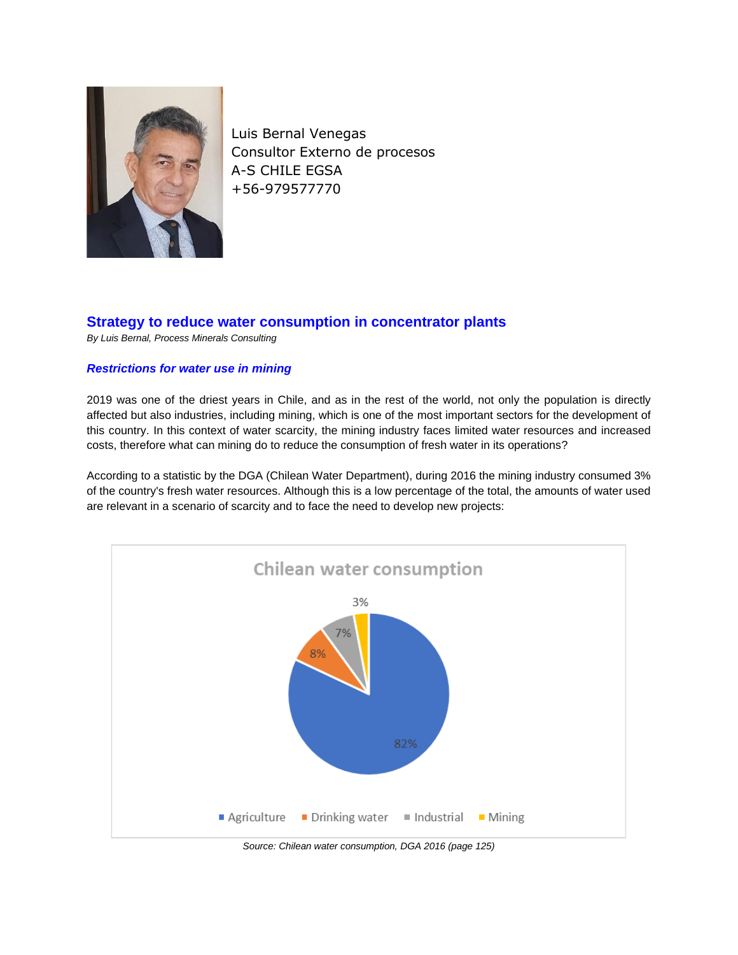

Luis Bernal Venegas Consultor Externo de procesos A-S CHILE EGSA +56-979577770

# **Strategy to reduce water consumption in concentrator plants**

*By Luis Bernal, Process Minerals Consulting*

# *Restrictions for water use in mining*

2019 was one of the driest years in Chile, and as in the rest of the world, not only the population is directly affected but also industries, including mining, which is one of the most important sectors for the development of this country. In this context of water scarcity, the mining industry faces limited water resources and increased costs, therefore what can mining do to reduce the consumption of fresh water in its operations?

According to a statistic by the DGA (Chilean Water Department), during 2016 the mining industry consumed 3% of the country's fresh water resources. Although this is a low percentage of the total, the amounts of water used are relevant in a scenario of scarcity and to face the need to develop new projects:



*Source: Chilean water consumption, DGA 2016 (page 125)*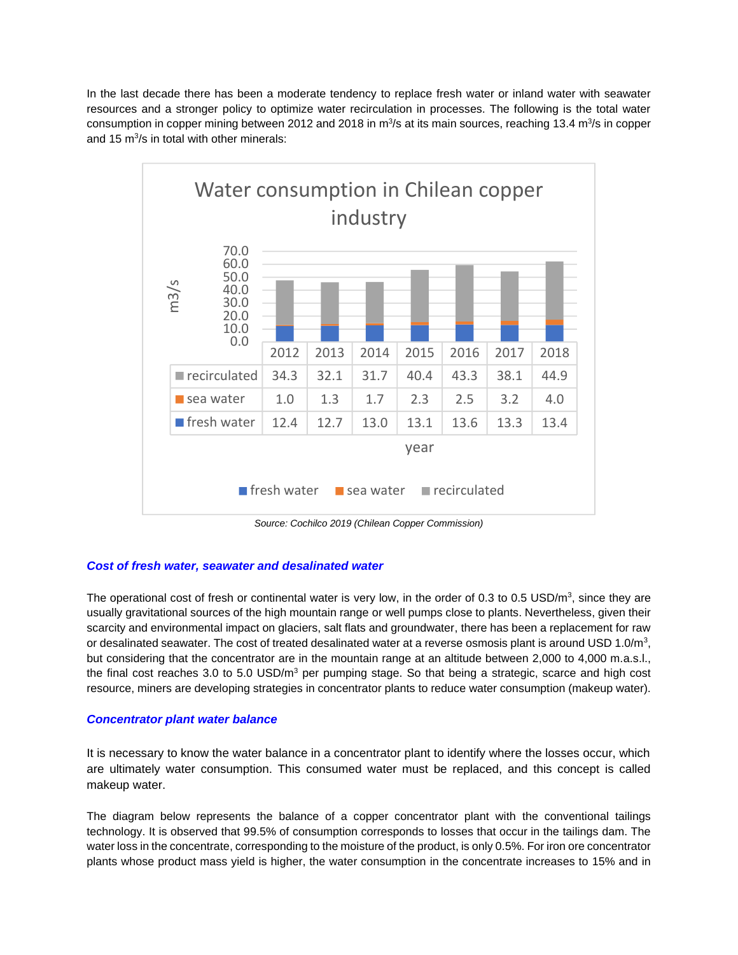In the last decade there has been a moderate tendency to replace fresh water or inland water with seawater resources and a stronger policy to optimize water recirculation in processes. The following is the total water consumption in copper mining between 2012 and 2018 in m<sup>3</sup>/s at its main sources, reaching 13.4 m<sup>3</sup>/s in copper and 15  $m^3/s$  in total with other minerals:



*Source: Cochilco 2019 (Chilean Copper Commission)*

# *Cost of fresh water, seawater and desalinated water*

The operational cost of fresh or continental water is very low, in the order of 0.3 to 0.5 USD/ $m^3$ , since they are usually gravitational sources of the high mountain range or well pumps close to plants. Nevertheless, given their scarcity and environmental impact on glaciers, salt flats and groundwater, there has been a replacement for raw or desalinated seawater. The cost of treated desalinated water at a reverse osmosis plant is around USD 1.0/m<sup>3</sup>, but considering that the concentrator are in the mountain range at an altitude between 2,000 to 4,000 m.a.s.l., the final cost reaches 3.0 to 5.0 USD/ $m<sup>3</sup>$  per pumping stage. So that being a strategic, scarce and high cost resource, miners are developing strategies in concentrator plants to reduce water consumption (makeup water).

### *Concentrator plant water balance*

It is necessary to know the water balance in a concentrator plant to identify where the losses occur, which are ultimately water consumption. This consumed water must be replaced, and this concept is called makeup water.

The diagram below represents the balance of a copper concentrator plant with the conventional tailings technology. It is observed that 99.5% of consumption corresponds to losses that occur in the tailings dam. The water loss in the concentrate, corresponding to the moisture of the product, is only 0.5%. For iron ore concentrator plants whose product mass yield is higher, the water consumption in the concentrate increases to 15% and in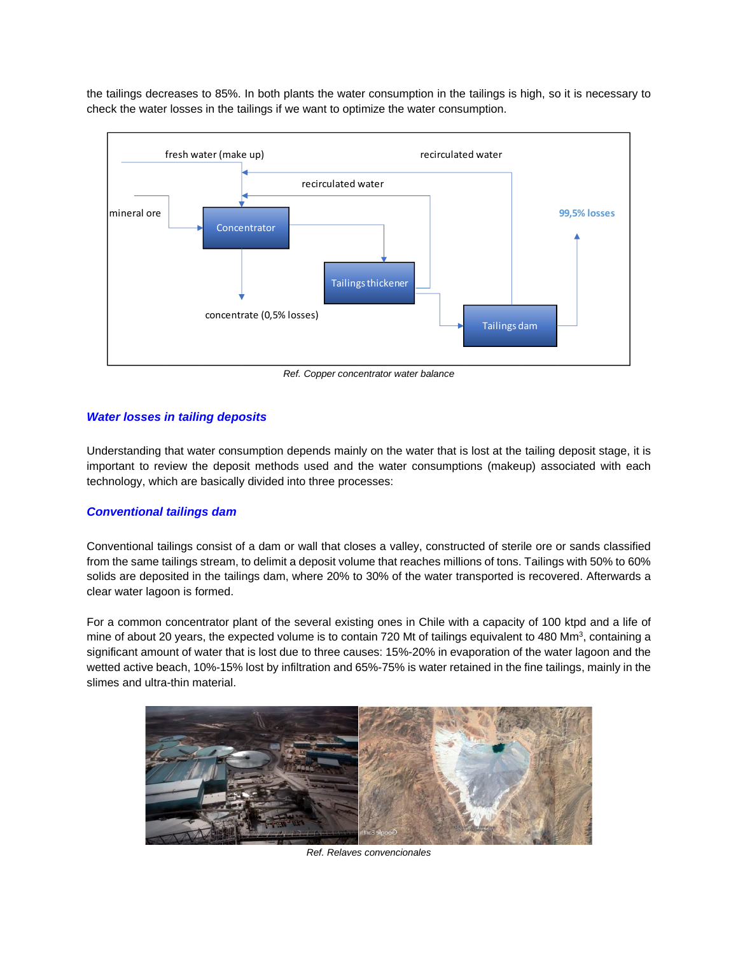the tailings decreases to 85%. In both plants the water consumption in the tailings is high, so it is necessary to check the water losses in the tailings if we want to optimize the water consumption.



*Ref. Copper concentrator water balance*

### *Water losses in tailing deposits*

Understanding that water consumption depends mainly on the water that is lost at the tailing deposit stage, it is important to review the deposit methods used and the water consumptions (makeup) associated with each technology, which are basically divided into three processes:

### *Conventional tailings dam*

Conventional tailings consist of a dam or wall that closes a valley, constructed of sterile ore or sands classified from the same tailings stream, to delimit a deposit volume that reaches millions of tons. Tailings with 50% to 60% solids are deposited in the tailings dam, where 20% to 30% of the water transported is recovered. Afterwards a clear water lagoon is formed.

For a common concentrator plant of the several existing ones in Chile with a capacity of 100 ktpd and a life of mine of about 20 years, the expected volume is to contain 720 Mt of tailings equivalent to 480 Mm<sup>3</sup>, containing a significant amount of water that is lost due to three causes: 15%-20% in evaporation of the water lagoon and the wetted active beach, 10%-15% lost by infiltration and 65%-75% is water retained in the fine tailings, mainly in the slimes and ultra-thin material.



*Ref. Relaves convencionales*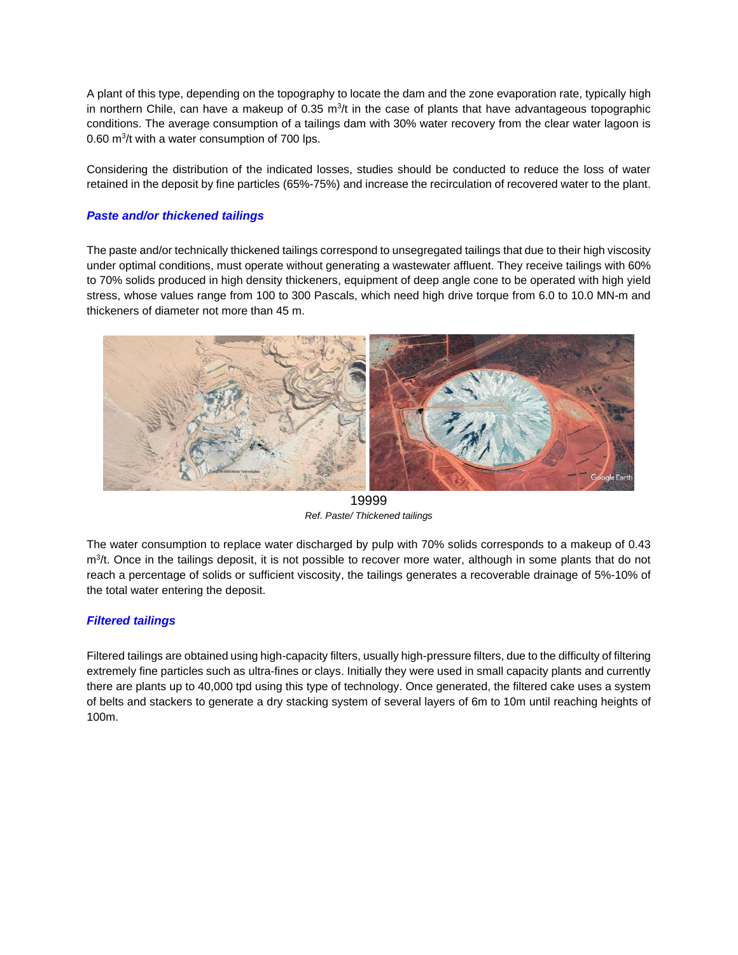A plant of this type, depending on the topography to locate the dam and the zone evaporation rate, typically high in northern Chile, can have a makeup of 0.35  $\text{m}^3$ /t in the case of plants that have advantageous topographic conditions. The average consumption of a tailings dam with 30% water recovery from the clear water lagoon is 0.60 m<sup>3</sup>/t with a water consumption of 700 lps.

Considering the distribution of the indicated losses, studies should be conducted to reduce the loss of water retained in the deposit by fine particles (65%-75%) and increase the recirculation of recovered water to the plant.

### *Paste and/or thickened tailings*

The paste and/or technically thickened tailings correspond to unsegregated tailings that due to their high viscosity under optimal conditions, must operate without generating a wastewater affluent. They receive tailings with 60% to 70% solids produced in high density thickeners, equipment of deep angle cone to be operated with high yield stress, whose values range from 100 to 300 Pascals, which need high drive torque from 6.0 to 10.0 MN-m and thickeners of diameter not more than 45 m.



19999 *Ref. Paste/ Thickened tailings*

The water consumption to replace water discharged by pulp with 70% solids corresponds to a makeup of 0.43 m<sup>3</sup>/t. Once in the tailings deposit, it is not possible to recover more water, although in some plants that do not reach a percentage of solids or sufficient viscosity, the tailings generates a recoverable drainage of 5%-10% of the total water entering the deposit.

# *Filtered tailings*

Filtered tailings are obtained using high-capacity filters, usually high-pressure filters, due to the difficulty of filtering extremely fine particles such as ultra-fines or clays. Initially they were used in small capacity plants and currently there are plants up to 40,000 tpd using this type of technology. Once generated, the filtered cake uses a system of belts and stackers to generate a dry stacking system of several layers of 6m to 10m until reaching heights of 100m.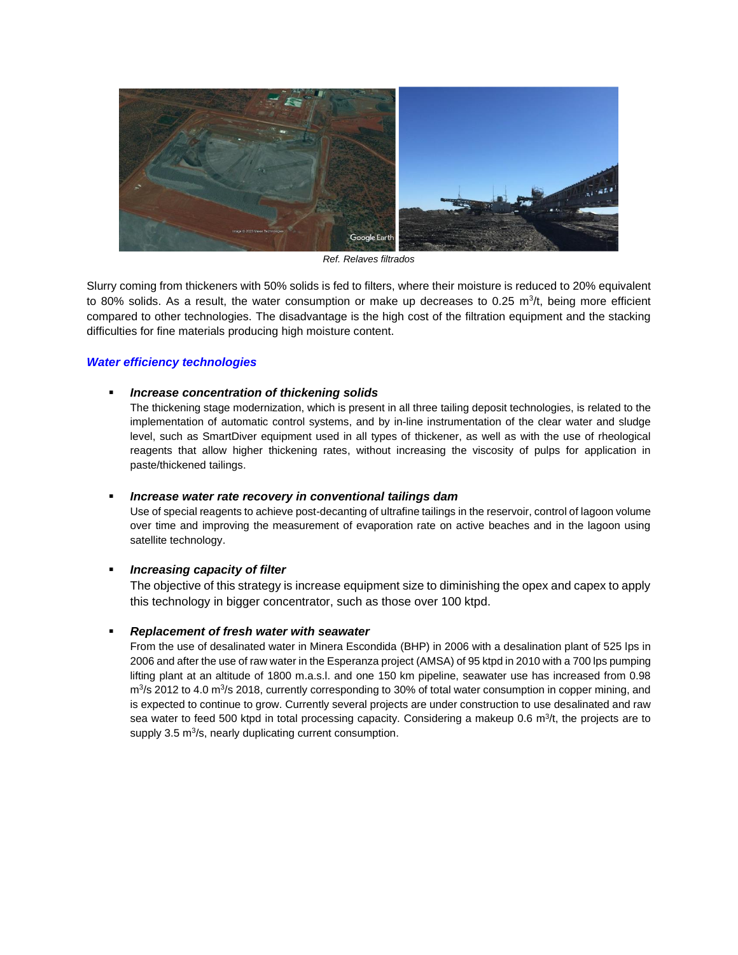

*Ref. Relaves filtrados*

Slurry coming from thickeners with 50% solids is fed to filters, where their moisture is reduced to 20% equivalent to 80% solids. As a result, the water consumption or make up decreases to 0.25  $m^3/t$ , being more efficient compared to other technologies. The disadvantage is the high cost of the filtration equipment and the stacking difficulties for fine materials producing high moisture content.

### *Water efficiency technologies*

### ▪ *Increase concentration of thickening solids*

The thickening stage modernization, which is present in all three tailing deposit technologies, is related to the implementation of automatic control systems, and by in-line instrumentation of the clear water and sludge level, such as SmartDiver equipment used in all types of thickener, as well as with the use of rheological reagents that allow higher thickening rates, without increasing the viscosity of pulps for application in paste/thickened tailings.

### ▪ *Increase water rate recovery in conventional tailings dam*

Use of special reagents to achieve post-decanting of ultrafine tailings in the reservoir, control of lagoon volume over time and improving the measurement of evaporation rate on active beaches and in the lagoon using satellite technology.

### ▪ *Increasing capacity of filter*

The objective of this strategy is increase equipment size to diminishing the opex and capex to apply this technology in bigger concentrator, such as those over 100 ktpd.

### ▪ *Replacement of fresh water with seawater*

From the use of desalinated water in Minera Escondida (BHP) in 2006 with a desalination plant of 525 lps in 2006 and after the use of raw water in the Esperanza project (AMSA) of 95 ktpd in 2010 with a 700 lps pumping lifting plant at an altitude of 1800 m.a.s.l. and one 150 km pipeline, seawater use has increased from 0.98 m<sup>3</sup>/s 2012 to 4.0 m<sup>3</sup>/s 2018, currently corresponding to 30% of total water consumption in copper mining, and is expected to continue to grow. Currently several projects are under construction to use desalinated and raw sea water to feed 500 ktpd in total processing capacity. Considering a makeup 0.6 m<sup>3</sup>/t, the projects are to supply 3.5 m<sup>3</sup>/s, nearly duplicating current consumption.